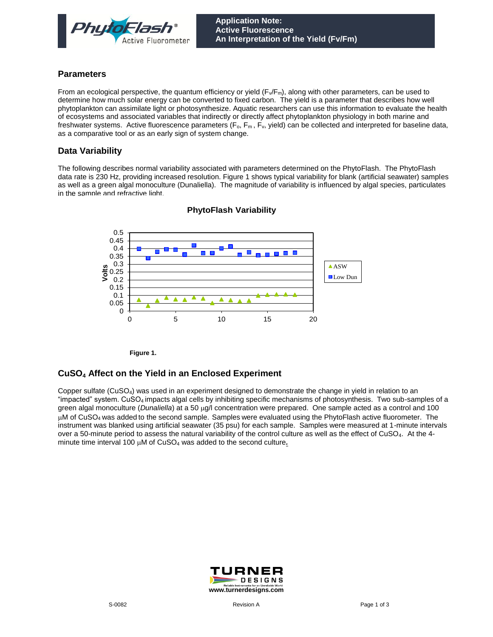

#### **Parameters**

From an ecological perspective, the quantum efficiency or yield  $(F\sqrt{F_m})$ , along with other parameters, can be used to determine how much solar energy can be converted to fixed carbon. The yield is a parameter that describes how well phytoplankton can assimilate light or photosynthesize. Aquatic researchers can use this information to evaluate the health of ecosystems and associated variables that indirectly or directly affect phytoplankton physiology in both marine and freshwater systems. Active fluorescence parameters  $(F_0, F_m, F_v,$  yield) can be collected and interpreted for baseline data, as a comparative tool or as an early sign of system change.

## **Data Variability**

The following describes normal variability associated with parameters determined on the PhytoFlash. The PhytoFlash data rate is 230 Hz, providing increased resolution. Figure 1 shows typical variability for blank (artificial seawater) samples as well as a green algal monoculture (Dunaliella). The magnitude of variability is influenced by algal species, particulates in the sample and refractive light.



### **PhytoFlash Variability**

**Figure 1.**

### **CuSO<sup>4</sup> Affect on the Yield in an Enclosed Experiment**

Copper sulfate (CuSO4) was used in an experiment designed to demonstrate the change in yield in relation to an "impacted" system. CuSO4 impacts algal cells by inhibiting specific mechanisms of photosynthesis. Two sub-samples of a green algal monoculture (*Dunaliella*) at a 50 µg/l concentration were prepared. One sample acted as a control and 100 µM of CuSO<sub>4</sub> was added to the second sample. Samples were evaluated using the PhytoFlash active fluorometer. The instrument was blanked using artificial seawater (35 psu) for each sample. Samples were measured at 1-minute intervals over a 50-minute period to assess the natural variability of the control culture as well as the effect of CuSO4. At the 4 minute time interval 100  $\mu$ M of CuSO<sub>4</sub> was added to the second culture.

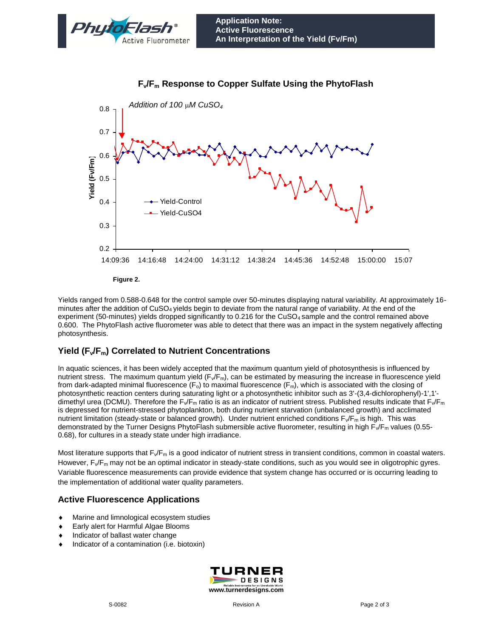



# **F**<sub>v</sub> $F$ <sub>m</sub> Response to Copper Sulfate Using the PhytoFlash

**Figure 2.**

Yields ranged from 0.588-0.648 for the control sample over 50-minutes displaying natural variability. At approximately 16 minutes after the addition of CuSO4 yields begin to deviate from the natural range of variability. At the end of the experiment (50-minutes) yields dropped significantly to 0.216 for the CuSO<sub>4</sub> sample and the control remained above 0.600. The PhytoFlash active fluorometer was able to detect that there was an impact in the system negatively affecting photosynthesis.

# **Yield (Fv/Fm) Correlated to Nutrient Concentrations**

In aquatic sciences, it has been widely accepted that the maximum quantum yield of photosynthesis is influenced by nutrient stress. The maximum quantum yield (F<sub>v</sub>/F<sub>m</sub>), can be estimated by measuring the increase in fluorescence yield from dark-adapted minimal fluorescence  $(F_o)$  to maximal fluorescence  $(F_m)$ , which is associated with the closing of photosynthetic reaction centers during saturating light or a photosynthetic inhibitor such as 3'-(3,4-dichlorophenyl)-1',1' dimethyl urea (DCMU). Therefore the  $F_v/F_m$  ratio is as an indicator of nutrient stress. Published results indicate that  $F_v/F_m$ is depressed for nutrient-stressed phytoplankton, both during nutrient starvation (unbalanced growth) and acclimated nutrient limitation (steady-state or balanced growth). Under nutrient enriched conditions  $F\sqrt{F_m}$  is high. This was demonstrated by the Turner Designs PhytoFlash submersible active fluorometer, resulting in high  $F_v/F_m$  values (0.55-0.68), for cultures in a steady state under high irradiance.

Most literature supports that  $F\sqrt{F_m}$  is a good indicator of nutrient stress in transient conditions, common in coastal waters. However,  $F_v/F_m$  may not be an optimal indicator in steady-state conditions, such as you would see in oligotrophic gyres. Variable fluorescence measurements can provide evidence that system change has occurred or is occurring leading to the implementation of additional water quality parameters.

## **Active Fluorescence Applications**

- Marine and limnological ecosystem studies
- ◆ Early alert for Harmful Algae Blooms
- Indicator of ballast water change
- $\bullet$  Indicator of a contamination (i.e. biotoxin)